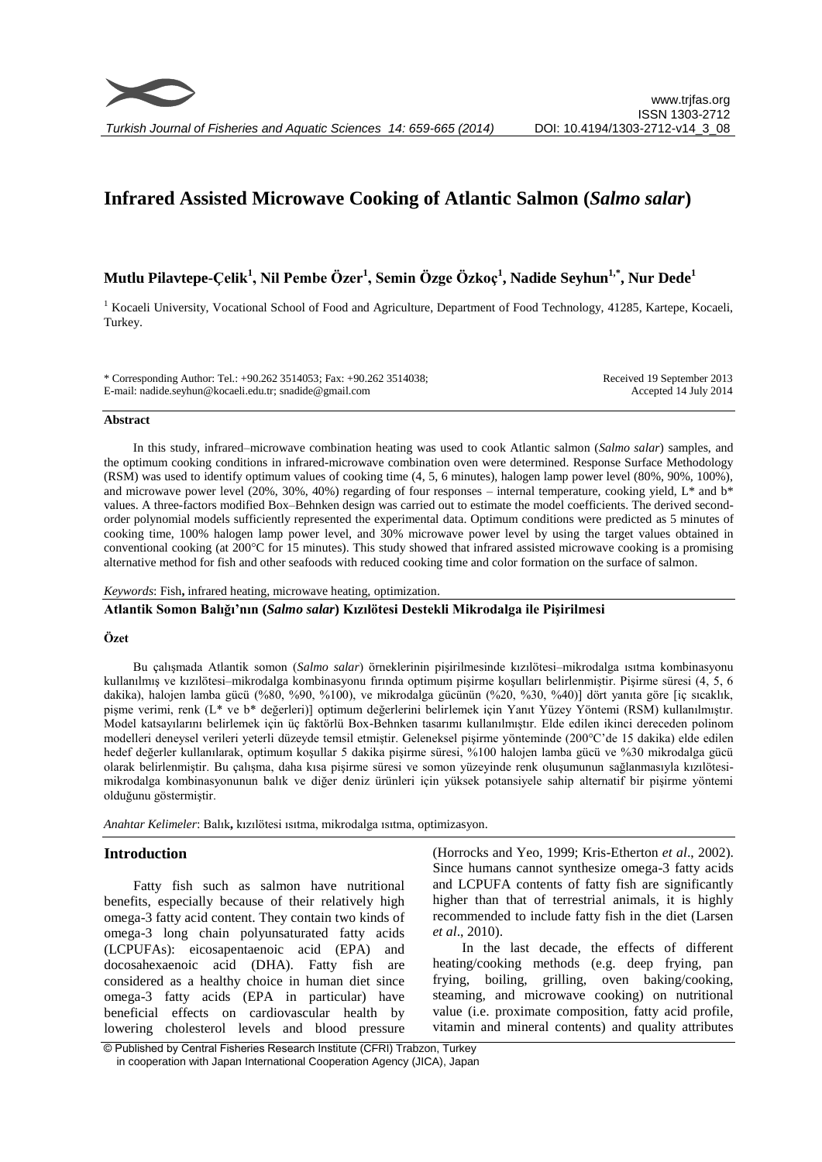# **Infrared Assisted Microwave Cooking of Atlantic Salmon (***Salmo salar***)**

**Mutlu Pilavtepe-Çelik<sup>1</sup> , Nil Pembe Özer<sup>1</sup> , Semin Özge Özkoç<sup>1</sup> , Nadide Seyhun1,\*, Nur Dede<sup>1</sup>**

<sup>1</sup> Kocaeli University, Vocational School of Food and Agriculture, Department of Food Technology, 41285, Kartepe, Kocaeli, Turkey.

\* Corresponding Author: Tel.: +90.262 3514053; Fax: +90.262 3514038; E-mail: nadide.seyhun@kocaeli.edu.tr; snadide@gmail.com Received 19 September 2013 Accepted 14 July 2014

## **Abstract**

In this study, infrared–microwave combination heating was used to cook Atlantic salmon (*Salmo salar*) samples, and the optimum cooking conditions in infrared-microwave combination oven were determined. Response Surface Methodology (RSM) was used to identify optimum values of cooking time (4, 5, 6 minutes), halogen lamp power level (80%, 90%, 100%), and microwave power level (20%, 30%, 40%) regarding of four responses – internal temperature, cooking yield,  $L^*$  and  $b^*$ values. A three-factors modified Box–Behnken design was carried out to estimate the model coefficients. The derived secondorder polynomial models sufficiently represented the experimental data. Optimum conditions were predicted as 5 minutes of cooking time, 100% halogen lamp power level, and 30% microwave power level by using the target values obtained in conventional cooking (at 200°C for 15 minutes). This study showed that infrared assisted microwave cooking is a promising alternative method for fish and other seafoods with reduced cooking time and color formation on the surface of salmon.

*Keywords*: Fish**,** infrared heating, microwave heating, optimization.

**Atlantik Somon Balığı'nın (***Salmo salar***) Kızılötesi Destekli Mikrodalga ile Pişirilmesi**

#### **Özet**

Bu çalışmada Atlantik somon (*Salmo salar*) örneklerinin pişirilmesinde kızılötesi–mikrodalga ısıtma kombinasyonu kullanılmış ve kızılötesi–mikrodalga kombinasyonu fırında optimum pişirme koşulları belirlenmiştir. Pişirme süresi (4, 5, 6 dakika), halojen lamba gücü (%80, %90, %100), ve mikrodalga gücünün (%20, %30, %40)] dört yanıta göre [iç sıcaklık, pişme verimi, renk (L\* ve b\* değerleri)] optimum değerlerini belirlemek için Yanıt Yüzey Yöntemi (RSM) kullanılmıştır. Model katsayılarını belirlemek için üç faktörlü Box-Behnken tasarımı kullanılmıştır. Elde edilen ikinci dereceden polinom modelleri deneysel verileri yeterli düzeyde temsil etmiştir. Geleneksel pişirme yönteminde (200°C'de 15 dakika) elde edilen hedef değerler kullanılarak, optimum koşullar 5 dakika pişirme süresi, %100 halojen lamba gücü ve %30 mikrodalga gücü olarak belirlenmiştir. Bu çalışma, daha kısa pişirme süresi ve somon yüzeyinde renk oluşumunun sağlanmasıyla kızılötesimikrodalga kombinasyonunun balık ve diğer deniz ürünleri için yüksek potansiyele sahip alternatif bir pişirme yöntemi olduğunu göstermiştir.

*Anahtar Kelimeler*: Balık**,** kızılötesi ısıtma, mikrodalga ısıtma, optimizasyon.

# **Introduction**

Fatty fish such as salmon have nutritional benefits, especially because of their relatively high omega-3 fatty acid content. They contain two kinds of omega-3 long chain polyunsaturated fatty acids (LCPUFAs): eicosapentaenoic acid (EPA) and docosahexaenoic acid (DHA). Fatty fish are considered as a healthy choice in human diet since omega-3 fatty acids (EPA in particular) have beneficial effects on cardiovascular health by lowering cholesterol levels and blood pressure

(Horrocks and Yeo, 1999; Kris-Etherton *et al*., 2002). Since humans cannot synthesize omega-3 fatty acids and LCPUFA contents of fatty fish are significantly higher than that of terrestrial animals, it is highly recommended to include fatty fish in the diet (Larsen *et al*., 2010).

In the last decade, the effects of different heating/cooking methods (e.g. deep frying, pan frying, boiling, grilling, oven baking/cooking, steaming, and microwave cooking) on nutritional value (i.e. proximate composition, fatty acid profile, vitamin and mineral contents) and quality attributes

<sup>©</sup> Published by Central Fisheries Research Institute (CFRI) Trabzon, Turkey in cooperation with Japan International Cooperation Agency (JICA), Japan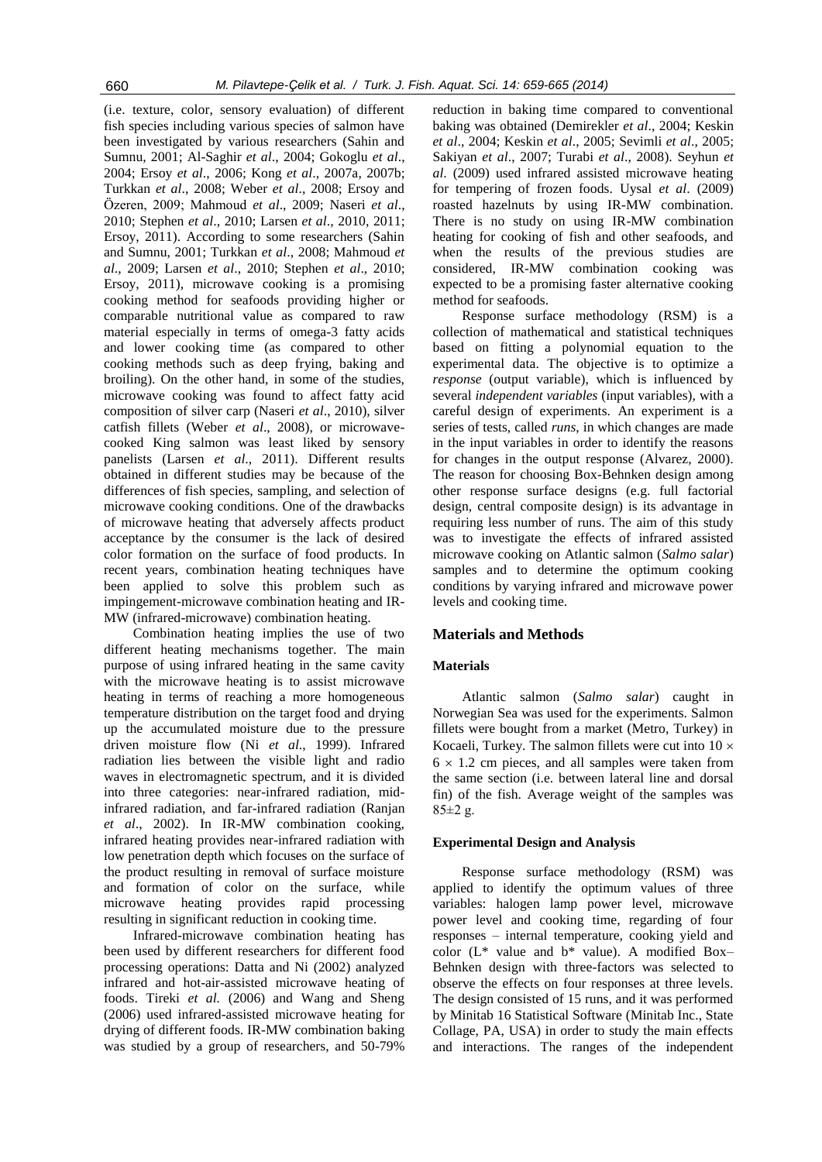(i.e. texture, color, sensory evaluation) of different fish species including various species of salmon have been investigated by various researchers (Sahin and Sumnu, 2001; Al-Saghir *et al*., 2004; Gokoglu *et al*., 2004; Ersoy *et al*., 2006; Kong *et al*., 2007a, 2007b; Turkkan *et al*., 2008; Weber *et al*., 2008; Ersoy and Özeren, 2009; Mahmoud *et al*., 2009; Naseri *et al*., 2010; Stephen *et al*., 2010; Larsen *et al*., 2010, 2011; Ersoy, 2011). According to some researchers (Sahin and Sumnu, 2001; Turkkan *et al*., 2008; Mahmoud *et al*., 2009; Larsen *et al*., 2010; Stephen *et al*., 2010; Ersoy, 2011), microwave cooking is a promising cooking method for seafoods providing higher or comparable nutritional value as compared to raw material especially in terms of omega-3 fatty acids and lower cooking time (as compared to other cooking methods such as deep frying, baking and broiling). On the other hand, in some of the studies, microwave cooking was found to affect fatty acid composition of silver carp (Naseri *et al*., 2010), silver catfish fillets (Weber *et al*., 2008), or microwavecooked King salmon was least liked by sensory panelists (Larsen *et al*., 2011). Different results obtained in different studies may be because of the differences of fish species, sampling, and selection of microwave cooking conditions. One of the drawbacks of microwave heating that adversely affects product acceptance by the consumer is the lack of desired color formation on the surface of food products. In recent years, combination heating techniques have been applied to solve this problem such as impingement-microwave combination heating and IR-MW (infrared-microwave) combination heating.

Combination heating implies the use of two different heating mechanisms together. The main purpose of using infrared heating in the same cavity with the microwave heating is to assist microwave heating in terms of reaching a more homogeneous temperature distribution on the target food and drying up the accumulated moisture due to the pressure driven moisture flow (Ni *et al*., 1999). Infrared radiation lies between the visible light and radio waves in electromagnetic spectrum, and it is divided into three categories: near-infrared radiation, midinfrared radiation, and far-infrared radiation (Ranjan *et al*., 2002). In IR-MW combination cooking, infrared heating provides near-infrared radiation with low penetration depth which focuses on the surface of the product resulting in removal of surface moisture and formation of color on the surface, while microwave heating provides rapid processing resulting in significant reduction in cooking time.

Infrared-microwave combination heating has been used by different researchers for different food processing operations: Datta and Ni (2002) analyzed infrared and hot-air-assisted microwave heating of foods. Tireki *et al.* (2006) and Wang and Sheng (2006) used infrared-assisted microwave heating for drying of different foods. IR-MW combination baking was studied by a group of researchers, and 50-79%

reduction in baking time compared to conventional baking was obtained (Demirekler *et al*., 2004; Keskin *et al*., 2004; Keskin *et al*., 2005; Sevimli *et al*., 2005; Sakiyan *et al*., 2007; Turabi *et al*., 2008). Seyhun *et al*. (2009) used infrared assisted microwave heating for tempering of frozen foods. Uysal *et al*. (2009) roasted hazelnuts by using IR-MW combination. There is no study on using IR-MW combination heating for cooking of fish and other seafoods, and when the results of the previous studies are considered, IR-MW combination cooking was expected to be a promising faster alternative cooking method for seafoods.

Response surface methodology (RSM) is a collection of mathematical and statistical techniques based on fitting a polynomial equation to the experimental data. The objective is to optimize a *response* (output variable), which is influenced by several *independent variables* (input variables), with a careful design of experiments. An experiment is a series of tests, called *runs*, in which changes are made in the input variables in order to identify the reasons for changes in the output response (Alvarez, 2000). The reason for choosing Box-Behnken design among other response surface designs (e.g. full factorial design, central composite design) is its advantage in requiring less number of runs. The aim of this study was to investigate the effects of infrared assisted microwave cooking on Atlantic salmon (*Salmo salar*) samples and to determine the optimum cooking conditions by varying infrared and microwave power levels and cooking time.

## **Materials and Methods**

## **Materials**

Atlantic salmon (*Salmo salar*) caught in Norwegian Sea was used for the experiments. Salmon fillets were bought from a market (Metro, Turkey) in Kocaeli, Turkey. The salmon fillets were cut into  $10 \times$  $6 \times 1.2$  cm pieces, and all samples were taken from the same section (i.e. between lateral line and dorsal fin) of the fish. Average weight of the samples was  $85±2 g.$ 

## **Experimental Design and Analysis**

Response surface methodology (RSM) was applied to identify the optimum values of three variables: halogen lamp power level, microwave power level and cooking time, regarding of four responses – internal temperature, cooking yield and color ( $L^*$  value and  $b^*$  value). A modified Box-Behnken design with three-factors was selected to observe the effects on four responses at three levels. The design consisted of 15 runs, and it was performed by Minitab 16 Statistical Software (Minitab Inc., State Collage, PA, USA) in order to study the main effects and interactions. The ranges of the independent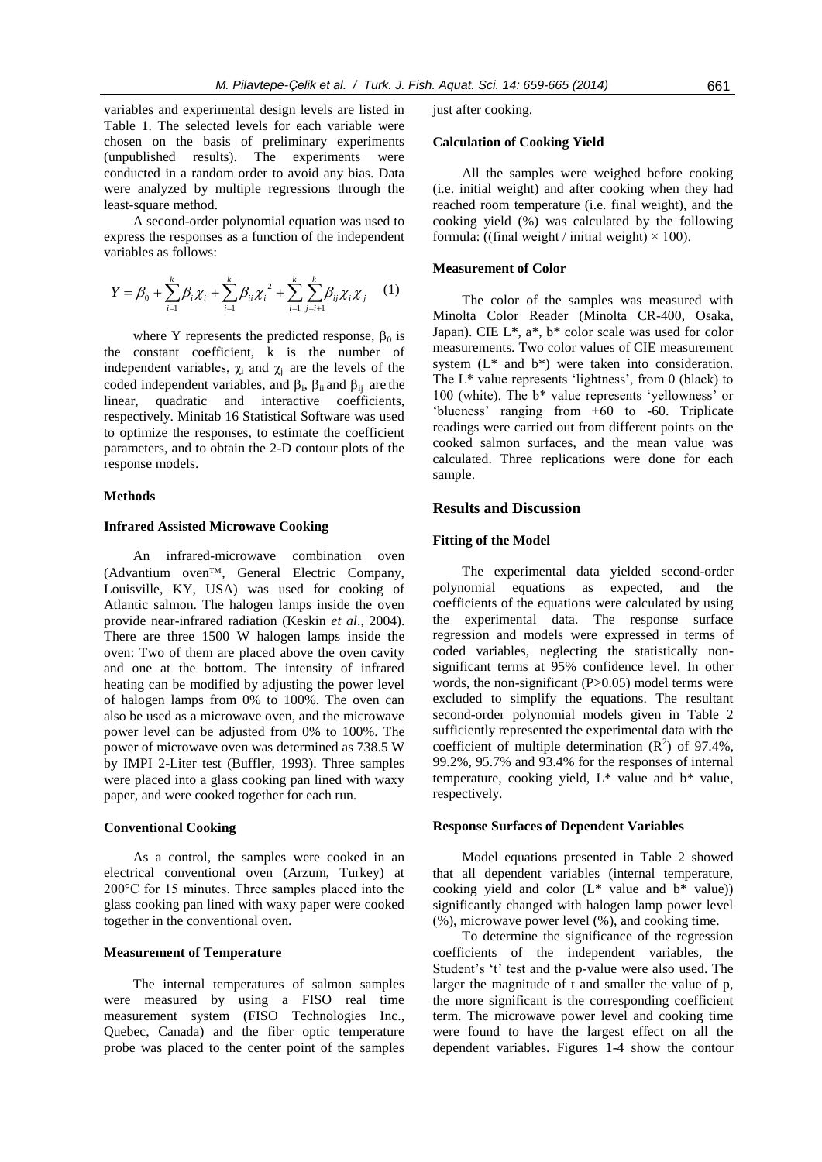variables and experimental design levels are listed in Table 1. The selected levels for each variable were chosen on the basis of preliminary experiments (unpublished results). The experiments were conducted in a random order to avoid any bias. Data were analyzed by multiple regressions through the least-square method.

A second-order polynomial equation was used to express the responses as a function of the independent variables as follows:

$$
Y = \beta_0 + \sum_{i=1}^k \beta_i \chi_i + \sum_{i=1}^k \beta_{ii} \chi_i^2 + \sum_{i=1}^k \sum_{j=i+1}^k \beta_{ij} \chi_i \chi_j \quad (1)
$$

where Y represents the predicted response,  $\beta_0$  is the constant coefficient, k is the number of independent variables,  $\chi_i$  and  $\chi_j$  are the levels of the coded independent variables, and  $\beta_i$ ,  $\beta_{ii}$  and  $\beta_{ij}$  are the linear, quadratic and interactive coefficients, respectively. Minitab 16 Statistical Software was used to optimize the responses, to estimate the coefficient parameters, and to obtain the 2-D contour plots of the response models.

## **Methods**

## **Infrared Assisted Microwave Cooking**

An infrared-microwave combination oven  $($ Advantium oven $TM$ , General Electric Company, Louisville, KY, USA) was used for cooking of Atlantic salmon. The halogen lamps inside the oven provide near-infrared radiation (Keskin *et al*., 2004). There are three 1500 W halogen lamps inside the oven: Two of them are placed above the oven cavity and one at the bottom. The intensity of infrared heating can be modified by adjusting the power level of halogen lamps from 0% to 100%. The oven can also be used as a microwave oven, and the microwave power level can be adjusted from 0% to 100%. The power of microwave oven was determined as 738.5 W by IMPI 2-Liter test (Buffler, 1993). Three samples were placed into a glass cooking pan lined with waxy paper, and were cooked together for each run.

## **Conventional Cooking**

As a control, the samples were cooked in an electrical conventional oven (Arzum, Turkey) at 200°C for 15 minutes. Three samples placed into the glass cooking pan lined with waxy paper were cooked together in the conventional oven.

# **Measurement of Temperature**

The internal temperatures of salmon samples were measured by using a FISO real time measurement system (FISO Technologies Inc., Quebec, Canada) and the fiber optic temperature probe was placed to the center point of the samples just after cooking.

## **Calculation of Cooking Yield**

All the samples were weighed before cooking (i.e. initial weight) and after cooking when they had reached room temperature (i.e. final weight), and the cooking yield (%) was calculated by the following formula: ((final weight / initial weight)  $\times$  100).

## **Measurement of Color**

The color of the samples was measured with Minolta Color Reader (Minolta CR-400, Osaka, Japan). CIE L\*, a\*, b\* color scale was used for color measurements. Two color values of CIE measurement system (L\* and b\*) were taken into consideration. The L\* value represents 'lightness', from 0 (black) to 100 (white). The b\* value represents 'yellowness' or 'blueness' ranging from +60 to -60. Triplicate readings were carried out from different points on the cooked salmon surfaces, and the mean value was calculated. Three replications were done for each sample.

# **Results and Discussion**

## **Fitting of the Model**

The experimental data yielded second-order polynomial equations as expected, and the coefficients of the equations were calculated by using the experimental data. The response surface regression and models were expressed in terms of coded variables, neglecting the statistically nonsignificant terms at 95% confidence level. In other words, the non-significant  $(P>0.05)$  model terms were excluded to simplify the equations. The resultant second-order polynomial models given in Table 2 sufficiently represented the experimental data with the coefficient of multiple determination  $(R^2)$  of 97.4%, 99.2%, 95.7% and 93.4% for the responses of internal temperature, cooking yield, L\* value and b\* value, respectively.

#### **Response Surfaces of Dependent Variables**

Model equations presented in Table 2 showed that all dependent variables (internal temperature, cooking yield and color  $(L^*$  value and  $b^*$  value)) significantly changed with halogen lamp power level (%), microwave power level (%), and cooking time.

To determine the significance of the regression coefficients of the independent variables, the Student's 't' test and the p-value were also used. The larger the magnitude of t and smaller the value of p, the more significant is the corresponding coefficient term. The microwave power level and cooking time were found to have the largest effect on all the dependent variables. Figures 1-4 show the contour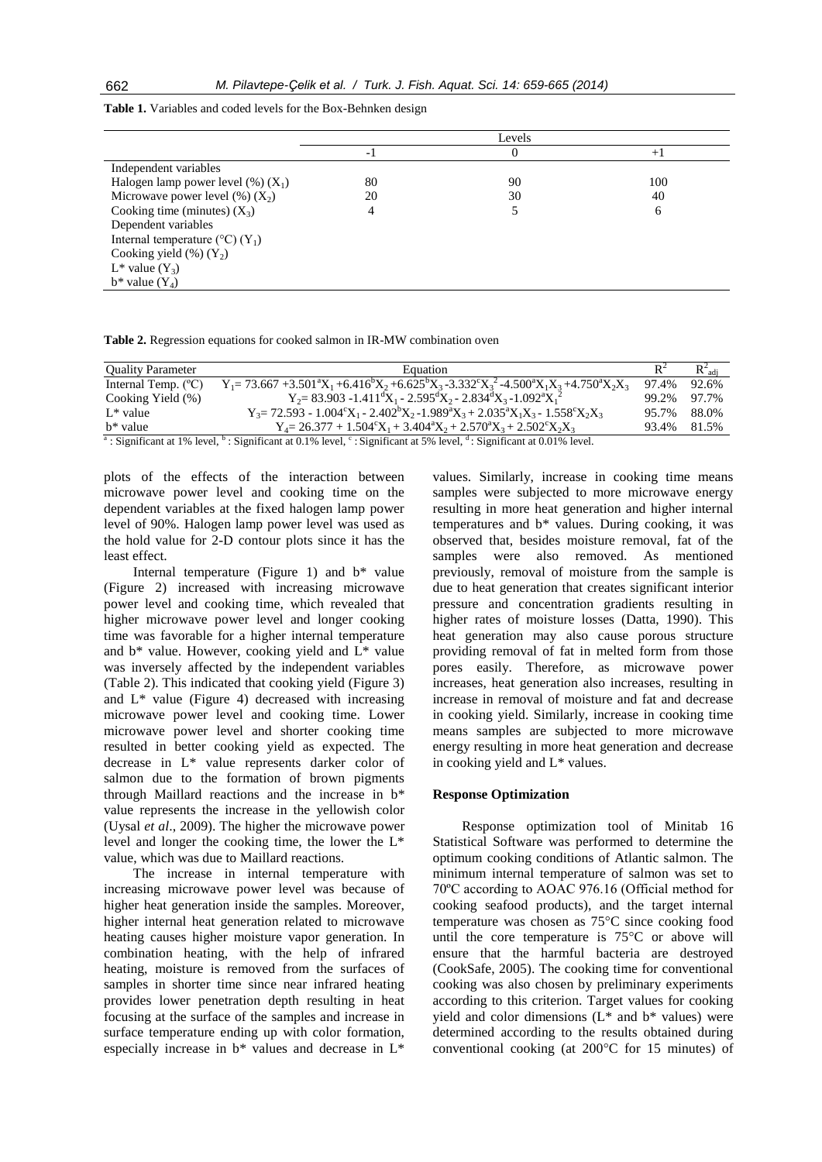| Levels |    |     |
|--------|----|-----|
| -      |    | $+$ |
|        |    |     |
| 80     | 90 | 100 |
| 20     | 30 | 40  |
|        |    | 6   |
|        |    |     |
|        |    |     |
|        |    |     |
|        |    |     |
|        |    |     |
|        |    |     |

**Table 1.** Variables and coded levels for the Box-Behnken design

**Table 2.** Regression equations for cooked salmon in IR-MW combination oven

| <b>Ouality Parameter</b>     | Equation                                                                                                                                                |       |       |
|------------------------------|---------------------------------------------------------------------------------------------------------------------------------------------------------|-------|-------|
| Internal Temp. $(^{\circ}C)$ | $Y_1 = 73.667 + 3.501^{\circ}X_1 + 6.416^{\circ}X_2 + 6.625^{\circ}X_3 - 3.332^{\circ}X_3^2 - 4.500^{\circ}X_1X_3 + 4.750^{\circ}X_2X_3$                | 97.4% | 92.6% |
| Cooking Yield (%)            | $Y_2 = 83.903 - 1.411^{d}X_1 - 2.595^{d}X_2 - 2.834^{d}X_3 - 1.092^{d}X_1^{2}$                                                                          | 99.2% | 97.7% |
| $L^*$ value                  | $Y_3 = 72.593 - 1.004^{\circ}X_1 - 2.402^{\circ}X_2 - 1.989^{\circ}X_3 + 2.035^{\circ}X_1X_3 - 1.558^{\circ}X_2X_3$                                     | 95.7% | 88.0% |
| b* value                     | $Y_4 = 26.377 + 1.504^{\circ}X_1 + 3.404^{\circ}X_2 + 2.570^{\circ}X_3 + 2.502^{\circ}X_2X_3$                                                           | 93.4% | 81.5% |
|                              | <sup>a</sup> Comificant at 1% level <sup>b</sup> Significant at 0.1% level <sup>c</sup> Significant at 5% level <sup>d</sup> Significant at 0.01% level |       |       |

: Significant at 1% level, : Significant at 0.1% level, c : Significant at 5% level, d : Significant at 0.01% level.

plots of the effects of the interaction between microwave power level and cooking time on the dependent variables at the fixed halogen lamp power level of 90%. Halogen lamp power level was used as the hold value for 2-D contour plots since it has the least effect.

Internal temperature (Figure 1) and b\* value (Figure 2) increased with increasing microwave power level and cooking time, which revealed that higher microwave power level and longer cooking time was favorable for a higher internal temperature and  $b^*$  value. However, cooking yield and  $L^*$  value was inversely affected by the independent variables (Table 2). This indicated that cooking yield (Figure 3) and  $L^*$  value (Figure 4) decreased with increasing microwave power level and cooking time. Lower microwave power level and shorter cooking time resulted in better cooking yield as expected. The decrease in L\* value represents darker color of salmon due to the formation of brown pigments through Maillard reactions and the increase in b\* value represents the increase in the yellowish color (Uysal *et al*., 2009). The higher the microwave power level and longer the cooking time, the lower the L\* value, which was due to Maillard reactions.

The increase in internal temperature with increasing microwave power level was because of higher heat generation inside the samples. Moreover, higher internal heat generation related to microwave heating causes higher moisture vapor generation. In combination heating, with the help of infrared heating, moisture is removed from the surfaces of samples in shorter time since near infrared heating provides lower penetration depth resulting in heat focusing at the surface of the samples and increase in surface temperature ending up with color formation, especially increase in b\* values and decrease in L\* values. Similarly, increase in cooking time means samples were subjected to more microwave energy resulting in more heat generation and higher internal temperatures and b\* values. During cooking, it was observed that, besides moisture removal, fat of the samples were also removed. As mentioned previously, removal of moisture from the sample is due to heat generation that creates significant interior pressure and concentration gradients resulting in higher rates of moisture losses (Datta, 1990). This heat generation may also cause porous structure providing removal of fat in melted form from those pores easily. Therefore, as microwave power increases, heat generation also increases, resulting in increase in removal of moisture and fat and decrease in cooking yield. Similarly, increase in cooking time means samples are subjected to more microwave energy resulting in more heat generation and decrease in cooking yield and L\* values.

## **Response Optimization**

Response optimization tool of Minitab 16 Statistical Software was performed to determine the optimum cooking conditions of Atlantic salmon. The minimum internal temperature of salmon was set to 70ºC according to AOAC 976.16 (Official method for cooking seafood products), and the target internal temperature was chosen as 75°C since cooking food until the core temperature is 75°C or above will ensure that the harmful bacteria are destroyed (CookSafe, 2005). The cooking time for conventional cooking was also chosen by preliminary experiments according to this criterion. Target values for cooking yield and color dimensions  $(L^*$  and  $b^*$  values) were determined according to the results obtained during conventional cooking (at 200°C for 15 minutes) of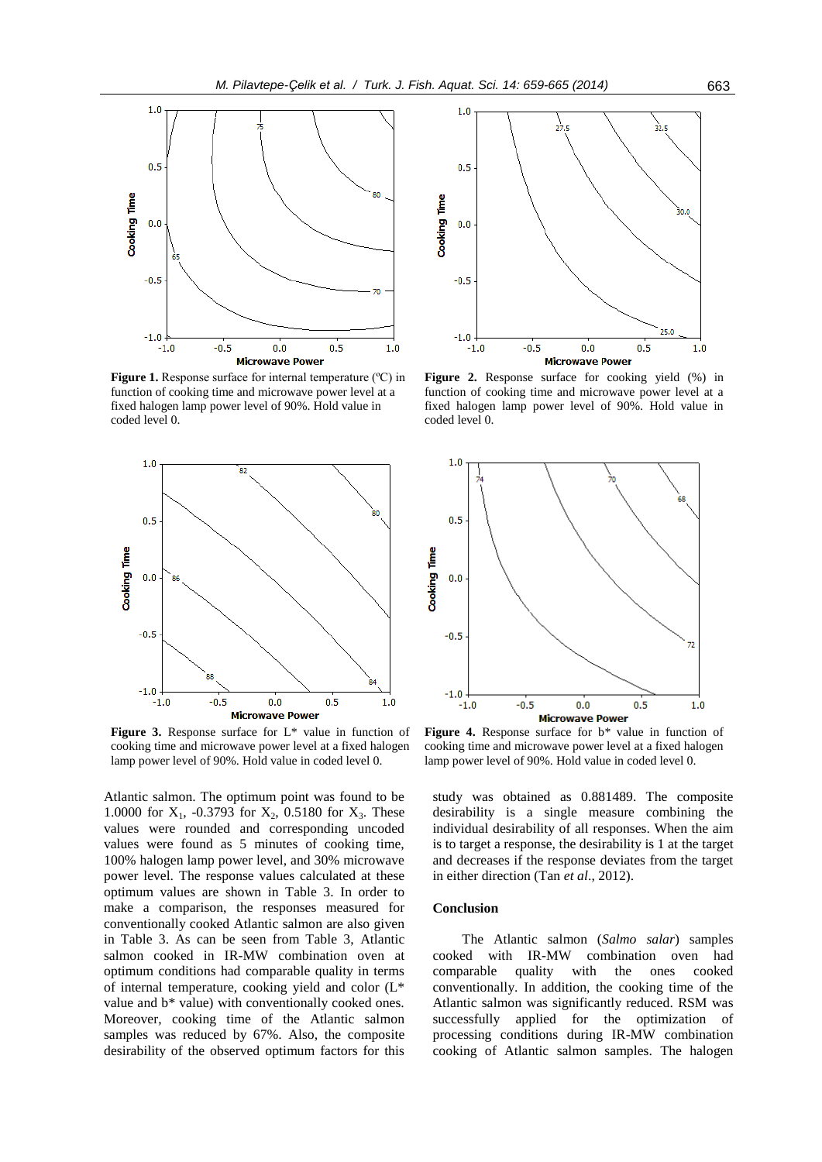

**Figure 1.** Response surface for internal temperature (°C) in function of cooking time and microwave power level at a fixed halogen lamp power level of 90%. Hold value in coded level 0.



Figure 3. Response surface for L<sup>\*</sup> value in function of cooking time and microwave power level at a fixed halogen lamp power level of 90%. Hold value in coded level 0.

Atlantic salmon. The optimum point was found to be 1.0000 for  $X_1$ , -0.3793 for  $X_2$ , 0.5180 for  $X_3$ . These values were rounded and corresponding uncoded values were found as 5 minutes of cooking time, 100% halogen lamp power level, and 30% microwave power level. The response values calculated at these optimum values are shown in Table 3. In order to make a comparison, the responses measured for conventionally cooked Atlantic salmon are also given in Table 3. As can be seen from Table 3, Atlantic salmon cooked in IR-MW combination oven at optimum conditions had comparable quality in terms of internal temperature, cooking yield and color (L\* value and b\* value) with conventionally cooked ones. Moreover, cooking time of the Atlantic salmon samples was reduced by 67%. Also, the composite desirability of the observed optimum factors for this



**Figure 2.** Response surface for cooking yield (%) in function of cooking time and microwave power level at a fixed halogen lamp power level of 90%. Hold value in coded level 0.



Figure 4. Response surface for b<sup>\*</sup> value in function of cooking time and microwave power level at a fixed halogen lamp power level of 90%. Hold value in coded level 0.

study was obtained as 0.881489. The composite desirability is a single measure combining the individual desirability of all responses. When the aim is to target a response, the desirability is 1 at the target and decreases if the response deviates from the target in either direction (Tan *et al*., 2012).

## **Conclusion**

The Atlantic salmon (*Salmo salar*) samples cooked with IR-MW combination oven had comparable quality with the ones cooked conventionally. In addition, the cooking time of the Atlantic salmon was significantly reduced. RSM was successfully applied for the optimization of processing conditions during IR-MW combination cooking of Atlantic salmon samples. The halogen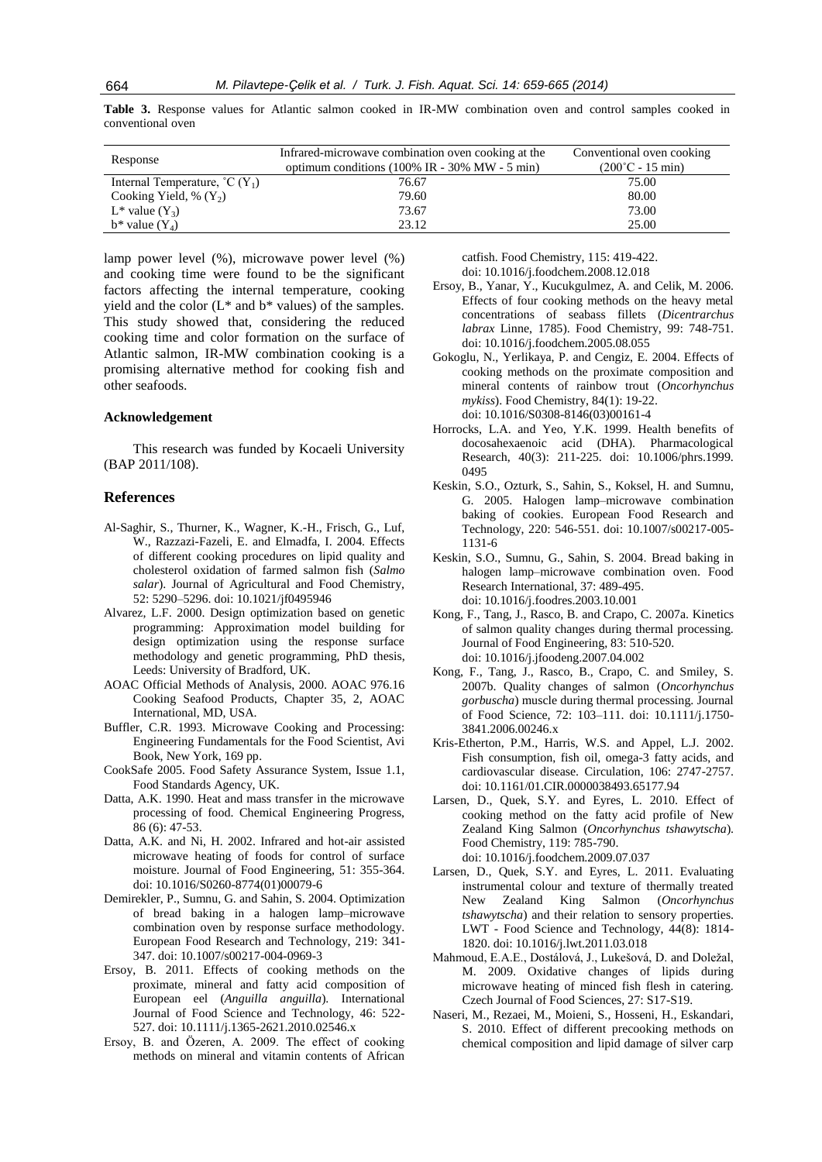**Table 3.** Response values for Atlantic salmon cooked in IR-MW combination oven and control samples cooked in conventional oven

| Response                               | Infrared-microwave combination oven cooking at the<br>optimum conditions $(100\% \text{ IR} - 30\% \text{ MW} - 5 \text{ min})$ | Conventional oven cooking<br>$(200^{\circ}C - 15 \text{ min})$ |
|----------------------------------------|---------------------------------------------------------------------------------------------------------------------------------|----------------------------------------------------------------|
| Internal Temperature, $^{\circ}C(Y_1)$ | 76.67                                                                                                                           | 75.00                                                          |
| Cooking Yield, % $(Y_2)$               | 79.60                                                                                                                           | 80.00                                                          |
| $L^*$ value $(Y_3)$                    | 73.67                                                                                                                           | 73.00                                                          |
| $b^*$ value $(Y_4)$                    | 23.12                                                                                                                           | 25.00                                                          |

lamp power level (%), microwave power level (%) and cooking time were found to be the significant factors affecting the internal temperature, cooking yield and the color  $(L^*$  and  $b^*$  values) of the samples. This study showed that, considering the reduced cooking time and color formation on the surface of Atlantic salmon, IR-MW combination cooking is a promising alternative method for cooking fish and other seafoods.

## **Acknowledgement**

This research was funded by Kocaeli University (BAP 2011/108).

#### **References**

- Al-Saghir, S., Thurner, K., Wagner, K.-H., Frisch, G., Luf, W., Razzazi-Fazeli, E. and Elmadfa, I. 2004. Effects of different cooking procedures on lipid quality and cholesterol oxidation of farmed salmon fish (*Salmo salar*). Journal of Agricultural and Food Chemistry, 52: 5290–5296. doi: 10.1021/jf0495946
- Alvarez, L.F. 2000. Design optimization based on genetic programming: Approximation model building for design optimization using the response surface methodology and genetic programming, PhD thesis, Leeds: University of Bradford, UK.
- AOAC Official Methods of Analysis, 2000. AOAC 976.16 Cooking Seafood Products, Chapter 35, 2, AOAC International, MD, USA.
- Buffler, C.R. 1993. Microwave Cooking and Processing: Engineering Fundamentals for the Food Scientist, Avi Book, New York, 169 pp.
- CookSafe 2005. Food Safety Assurance System, Issue 1.1, Food Standards Agency, UK.
- Datta, A.K. 1990. Heat and mass transfer in the microwave processing of food. Chemical Engineering Progress, 86 (6): 47-53.
- Datta, A.K. and Ni, H. 2002. Infrared and hot-air assisted microwave heating of foods for control of surface moisture. Journal of Food Engineering, 51: 355-364. doi: 10.1016/S0260-8774(01)00079-6
- Demirekler, P., Sumnu, G. and Sahin, S. 2004. Optimization of bread baking in a halogen lamp–microwave combination oven by response surface methodology. European Food Research and Technology, 219: 341- 347. doi: 10.1007/s00217-004-0969-3
- Ersoy, B. 2011. Effects of cooking methods on the proximate, mineral and fatty acid composition of European eel (*Anguilla anguilla*). International Journal of Food Science and Technology, 46: 522- 527. doi: 10.1111/j.1365-2621.2010.02546.x
- Ersoy, B. and Özeren, A. 2009. The effect of cooking methods on mineral and vitamin contents of African

catfish. Food Chemistry, 115: 419-422. doi: 10.1016/j.foodchem.2008.12.018

- Ersoy, B., Yanar, Y., Kucukgulmez, A. and Celik, M. 2006. Effects of four cooking methods on the heavy metal concentrations of seabass fillets (*Dicentrarchus labrax* Linne, 1785). Food Chemistry, 99: 748-751. doi: 10.1016/j.foodchem.2005.08.055
- Gokoglu, N., Yerlikaya, P. and Cengiz, E. 2004. Effects of cooking methods on the proximate composition and mineral contents of rainbow trout (*Oncorhynchus mykiss*). Food Chemistry, 84(1): 19-22. doi: 10.1016/S0308-8146(03)00161-4
- Horrocks, L.A. and Yeo, Y.K. 1999. Health benefits of docosahexaenoic acid (DHA). Pharmacological Research, 40(3): 211-225. doi: 10.1006/phrs.1999. 0495
- Keskin, S.O., Ozturk, S., Sahin, S., Koksel, H. and Sumnu, G. 2005. Halogen lamp–microwave combination baking of cookies. European Food Research and Technology, 220: 546-551. doi: 10.1007/s00217-005- 1131-6
- Keskin, S.O., Sumnu, G., Sahin, S. 2004. Bread baking in halogen lamp–microwave combination oven. Food Research International, 37: 489-495. doi: 10.1016/j.foodres.2003.10.001
- Kong, F., Tang, J., Rasco, B. and Crapo, C. 2007a. Kinetics of salmon quality changes during thermal processing. Journal of Food Engineering, 83: 510-520. doi: 10.1016/j.jfoodeng.2007.04.002
- Kong, F., Tang, J., Rasco, B., Crapo, C. and Smiley, S. 2007b. Quality changes of salmon (*Oncorhynchus gorbuscha*) muscle during thermal processing. Journal of Food Science, 72: 103–111. doi: 10.1111/j.1750- 3841.2006.00246.x
- Kris-Etherton, P.M., Harris, W.S. and Appel, L.J. 2002. Fish consumption, fish oil, omega-3 fatty acids, and cardiovascular disease. Circulation, 106: 2747-2757. doi: 10.1161/01.CIR.0000038493.65177.94
- Larsen, D., Quek, S.Y. and Eyres, L. 2010. Effect of cooking method on the fatty acid profile of New Zealand King Salmon (*Oncorhynchus tshawytscha*). Food Chemistry, 119: 785-790. doi: 10.1016/j.foodchem.2009.07.037
- Larsen, D., Quek, S.Y. and Eyres, L. 2011. Evaluating instrumental colour and texture of thermally treated New Zealand King Salmon (*Oncorhynchus tshawytscha*) and their relation to sensory properties. LWT - Food Science and Technology, 44(8): 1814- 1820. doi: 10.1016/j.lwt.2011.03.018
- Mahmoud, E.A.E., Dostálová, J., Lukešová, D. and Doležal, M. 2009. Oxidative changes of lipids during microwave heating of minced fish flesh in catering. Czech Journal of Food Sciences, 27: S17-S19.
- Naseri, M., Rezaei, M., Moieni, S., Hosseni, H., Eskandari, S. 2010. Effect of different precooking methods on chemical composition and lipid damage of silver carp